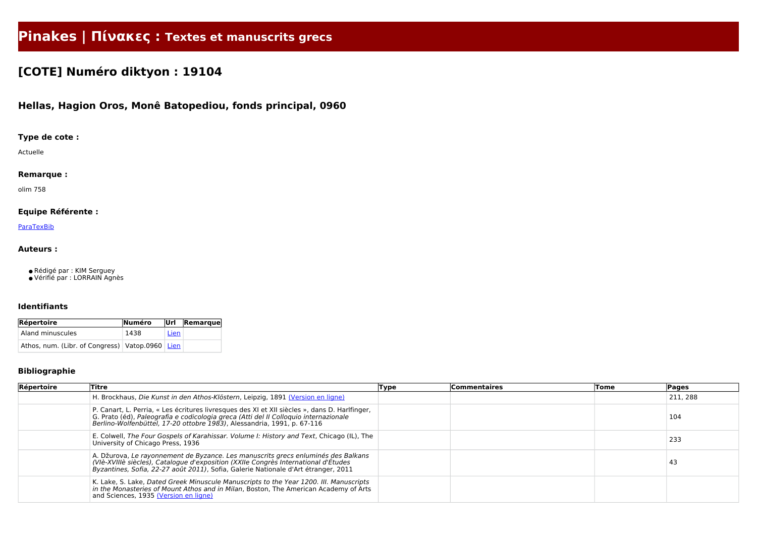# **Pinakes | Πίνακες : Textes et manuscrits grecs**

## **[COTE] Numéro diktyon : 19104**

### **Hellas, Hagion Oros, Monê Batopediou, fonds principal, 0960**

#### **Type de cote :**

Actuelle

#### **Remarque :**

olim 758

#### **Equipe Référente :**

#### **[ParaTexBib](http://www.paratexbib.eu)**

#### **Auteurs :**

● Rédigé par : KIM Serguey

● Vérifié par : LORRAIN Agnès

#### **Identifiants**

| Répertoire                                          | Numéro |             | Url Remarque |
|-----------------------------------------------------|--------|-------------|--------------|
| Aland minuscules                                    | 1438   | <b>Lien</b> |              |
| Athos, num. (Libr. of Congress)   Vatop.0960   Lien |        |             |              |

#### **Bibliographie**

| Répertoire | Titre                                                                                                                                                                                                                                                            | Type | <b>Commentaires</b> | Tome | Pages    |
|------------|------------------------------------------------------------------------------------------------------------------------------------------------------------------------------------------------------------------------------------------------------------------|------|---------------------|------|----------|
|            | H. Brockhaus, Die Kunst in den Athos-Klöstern, Leipzig, 1891 (Version en ligne)                                                                                                                                                                                  |      |                     |      | 211, 288 |
|            | P. Canart, L. Perria, « Les écritures livresques des XI et XII siècles », dans D. Harlfinger,<br>G. Prato (éd), Paleografia e codicologia greca (Atti del II Colloquio internazionale<br>Berlino-Wolfenbüttel, 17-20 ottobre 1983), Alessandria, 1991, p. 67-116 |      |                     |      | 104      |
|            | E. Colwell, The Four Gospels of Karahissar. Volume I: History and Text, Chicago (IL), The<br>University of Chicago Press, 1936                                                                                                                                   |      |                     |      | 233      |
|            | A. Džurova, Le rayonnement de Byzance. Les manuscrits grecs enluminés des Balkans<br>(VIè-XVIIIè siècles), Catalogue d'exposition (XXIIe Congrès International d'Études<br>Byzantines, Sofia, 22-27 août 2011), Sofia, Galerie Nationale d'Art étranger, 2011    |      |                     |      | 43       |
|            | K. Lake, S. Lake, Dated Greek Minuscule Manuscripts to the Year 1200. III. Manuscripts<br>in the Monasteries of Mount Athos and in Milan, Boston, The American Academy of Arts<br>and Sciences, 1935 (Version en ligne)                                          |      |                     |      |          |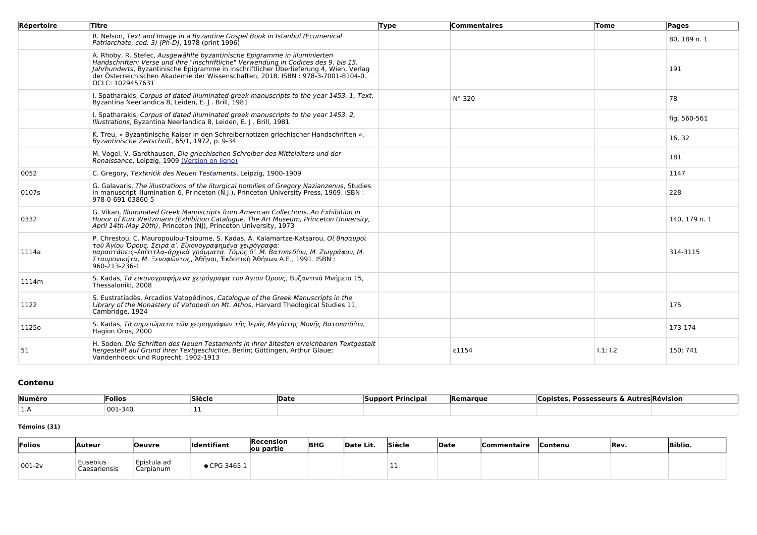| Répertoire | <b>Titre</b>                                                                                                                                                                                                                                                                                                                                                        | <b>Type</b> | Commentaires | Tome     | Pages         |
|------------|---------------------------------------------------------------------------------------------------------------------------------------------------------------------------------------------------------------------------------------------------------------------------------------------------------------------------------------------------------------------|-------------|--------------|----------|---------------|
|            | R. Nelson, Text and Image in a Byzantine Gospel Book in Istanbul (Ecumenical<br>Patriarchate, cod. 3) [Ph-D], 1978 (print 1996)                                                                                                                                                                                                                                     |             |              |          | 80, 189 n. 1  |
|            | A. Rhoby, R. Stefec, Ausgewählte byzantinische Epigramme in illuminierten<br>Handschriften: Verse und ihre "inschriftliche" Verwendung in Codices des 9. bis 15.<br>Jahrhunderts, Byzantinische Epigramme in inschriftlicher Überlieferung 4, Wien, Verlag<br>der Österreichischen Akademie der Wissenschaften, 2018. ISBN : 978-3-7001-8104-0.<br>OCLC: 1029457631 |             |              |          | 191           |
|            | I. Spatharakis, Corpus of dated illuminated greek manuscripts to the year 1453. 1, Text,<br>Byzantina Neerlandica 8, Leiden, E. J. Brill, 1981                                                                                                                                                                                                                      |             | N° 320       |          | 78            |
|            | I. Spatharakis, Corpus of dated illuminated greek manuscripts to the year 1453. 2,<br>Illustrations, Byzantina Neerlandica 8, Leiden, E. J. Brill, 1981                                                                                                                                                                                                             |             |              |          | fig. 560-561  |
|            | K. Treu, « Byzantinische Kaiser in den Schreibernotizen griechischer Handschriften »,<br>Byzantinische Zeitschrift, 65/1, 1972, p. 9-34                                                                                                                                                                                                                             |             |              |          | 16, 32        |
|            | M. Vogel, V. Gardthausen, Die griechischen Schreiber des Mittelalters und der<br>Renaissance, Leipzig, 1909 (Version en ligne)                                                                                                                                                                                                                                      |             |              |          | 181           |
| 0052       | C. Gregory, Textkritik des Neuen Testaments, Leipzig, 1900-1909                                                                                                                                                                                                                                                                                                     |             |              |          | 1147          |
| 0107s      | G. Galavaris, The illustrations of the liturgical homilies of Gregory Nazianzenus, Studies<br>in manuscript illumination 6, Princeton (N.J.), Princeton University Press, 1969. ISBN :<br>978-0-691-03860-5                                                                                                                                                         |             |              |          | 228           |
| 0332       | G. Vikan, Illuminated Greek Manuscripts from American Collections. An Exhibition in<br>Honor of Kurt Weitzmann (Exhibition Catalogue, The Art Museum, Princeton University,<br>April 14th-May 20th), Princeton (NJ), Princeton University, 1973                                                                                                                     |             |              |          | 140, 179 n. 1 |
| 1114a      | P. Chrestou, C. Mauropoulou-Tsioume, S. Kadas, A. Kalamartze-Katsarou, Οί θησαυροί<br>τοῦ Ἁγίου Όρους. Σειρὰ α'. Εἰκονογραφημένα χειρόγραφα:<br>παραστάσεις-έπίτιτλα-άρχικὰ γράμματα. Τόμος δ'. Μ. Βατοπεδίου, Μ. Ζωγράφου, Μ.<br>Σταυρονικήτα, Μ. Ξενοφῶντος, Άθῆναι, Έκδοτικὴ Άθήνων Α.Ε., 1991. ISBN:<br>960-213-236-1                                           |             |              |          | 314-3115      |
| 1114m      | S. Kadas, Τα εικονογραφήμενα χειρόγραφα του Άγιου Όρους, Βυζαντινά Μνήμεια 15,<br>Thessaloniki, 2008                                                                                                                                                                                                                                                                |             |              |          |               |
| 1122       | S. Eustratiadès, Arcadios Vatopédinos, Catalogue of the Greek Manuscripts in the<br>Library of the Monastery of Vatopedi on Mt. Athos, Harvard Theological Studies 11<br>Cambridge, 1924                                                                                                                                                                            |             |              |          | 175           |
| 1125o      | S. Kadas, Τὰ σημειώματα τῶν χειρογράφων τῆς Ἱερᾶς Μεγίστης Μονῆς Βατοπαιδίου,<br>Hagion Oros, 2000                                                                                                                                                                                                                                                                  |             |              |          | 173-174       |
| 51         | H. Soden, Die Schriften des Neuen Testaments in ihrer ältesten erreichbaren Textgestalt<br>hergestellt auf Grund ihrer Textgeschichte, Berlin; Göttingen, Arthur Glaue;<br>Vandenhoeck und Ruprecht, 1902-1913                                                                                                                                                      |             | ε1154        | 1.1; 1.2 | 150; 741      |

#### **Contenu**

| Numéro       | lFolios. | $\sim$<br>Siècl | 'Date | Principa.<br>ISunnort | <b>Remarque</b> | Autres Révision<br><b>Possesseurs</b><br>nıct.<br>. |  |  |  |  |
|--------------|----------|-----------------|-------|-----------------------|-----------------|-----------------------------------------------------|--|--|--|--|
| . <i>. .</i> | 001-340  |                 |       |                       |                 |                                                     |  |  |  |  |

#### **Témoins (31)**

| Folios    | <b>Auteur</b>                          | Oeuvre                   | <b>Identifiant</b> | Recension<br>ou partie | <b>BHG</b> | Date Lit. | Siècle | Date | <b> Commentaire</b> | <b>Contenu</b> | Rev. | <b>Biblio.</b> |
|-----------|----------------------------------------|--------------------------|--------------------|------------------------|------------|-----------|--------|------|---------------------|----------------|------|----------------|
| $ 001-2v$ | <i><b>Eusebius</b></i><br>Caesariensis | Epistula ad<br>Carpianum | CPG 3465.1         |                        |            |           |        |      |                     |                |      |                |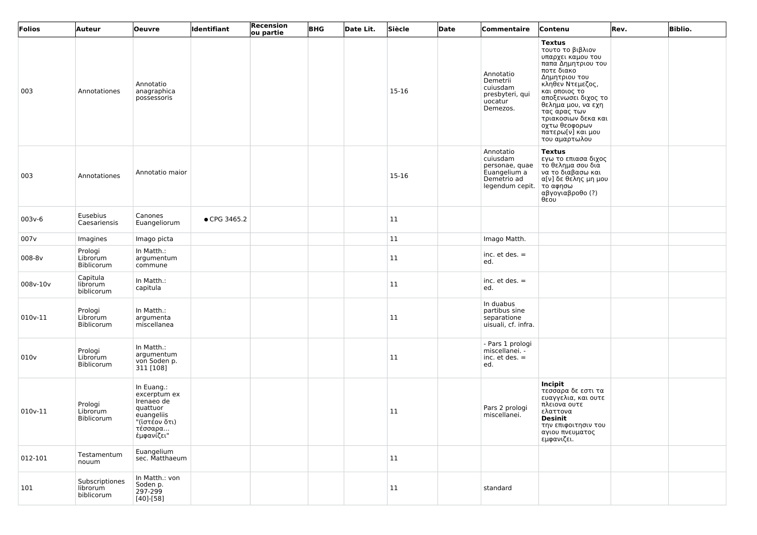| Folios   | Auteur                                   | <b>Oeuvre</b>                                                                                                | ldentifiant  | Recension<br>ou partie | <b>BHG</b> | Date Lit. | Siècle | Date | Commentaire                                                                               | Contenu                                                                                                                                                                                                                                                                                     | Rev. | <b>Biblio.</b> |
|----------|------------------------------------------|--------------------------------------------------------------------------------------------------------------|--------------|------------------------|------------|-----------|--------|------|-------------------------------------------------------------------------------------------|---------------------------------------------------------------------------------------------------------------------------------------------------------------------------------------------------------------------------------------------------------------------------------------------|------|----------------|
| 003      | Annotationes                             | Annotatio<br>anagraphica<br>possessoris                                                                      |              |                        |            |           | 15-16  |      | Annotatio<br>Demetrii<br>cuiusdam<br>presbyteri, qui<br>uocatur<br>Demezos.               | <b>Textus</b><br>τουτο το βιβλιον<br>υπαρχει καμου του<br>παπα Δημητριου του<br>ποτε διακο<br>Δημητριου του<br>κληθεν Ντεμεζος,<br>και οποιος το<br>αποξενωσει διχος το<br>θελημα μου, να εχη<br>τας αρας των<br>τριακοσιων δεκα και<br>οχτω θεοφορων<br>πατερω[ν] και μου<br>του αμαρτωλου |      |                |
| 003      | Annotationes                             | Annotatio maior                                                                                              |              |                        |            |           | 15-16  |      | Annotatio<br>cuiusdam<br>personae, quae<br>Euangelium a<br>Demetrio ad<br>legendum cepit. | <b>Textus</b><br>εγω το επιασα διχος<br>  το θελημα σου δια<br>να το διαβασω και<br>α[ν] δε θελης μη μου<br>το αφησω<br>αβγογιαβροθο (?)<br>θεου                                                                                                                                            |      |                |
| $003v-6$ | Eusebius<br>Caesariensis                 | Canones<br>Euangeliorum                                                                                      | • CPG 3465.2 |                        |            |           | 11     |      |                                                                                           |                                                                                                                                                                                                                                                                                             |      |                |
| 007v     | Imagines                                 | Imago picta                                                                                                  |              |                        |            |           | 11     |      | Imago Matth.                                                                              |                                                                                                                                                                                                                                                                                             |      |                |
| 008-8v   | Prologi<br>Librorum<br>Biblicorum        | In Matth.:<br>argumentum<br>commune                                                                          |              |                        |            |           | 11     |      | inc. $et$ des. $=$<br>ed.                                                                 |                                                                                                                                                                                                                                                                                             |      |                |
| 008v-10v | Capitula<br>librorum<br>biblicorum       | In Matth.:<br>capitula                                                                                       |              |                        |            |           | 11     |      | inc. $et$ des. $=$<br>ed.                                                                 |                                                                                                                                                                                                                                                                                             |      |                |
| 010v-11  | Prologi<br>Librorum<br>Biblicorum        | In Matth.:<br>argumenta<br>miscellanea                                                                       |              |                        |            |           | 11     |      | In duabus<br>partibus sine<br>separatione<br>uisuali, cf. infra.                          |                                                                                                                                                                                                                                                                                             |      |                |
| 010v     | Prologi<br>Librorum<br>Biblicorum        | In Matth.:<br>argumentum<br>von Soden p.<br>311 [108]                                                        |              |                        |            |           | 11     |      | - Pars 1 prologi<br>miscellanei. -<br>inc. $et$ des. $=$<br>ed.                           |                                                                                                                                                                                                                                                                                             |      |                |
| 010v-11  | Prologi<br>Librorum<br>Biblicorum        | In Euang.:<br>excerptum ex<br>Irenaeo de<br>quattuor<br>euangeliis<br>"(ἰστέον ὅτι)<br>τέσσαρα<br>έμφανίζει" |              |                        |            |           | 11     |      | Pars 2 prologi<br>miscellanei.                                                            | Incipit<br>τεσσαρα δε εστι τα<br>ευαγγελια, και ουτε<br>πλειονα ουτε<br>ελαττονα<br><b>Desinit</b><br>την επιφοιτησιν του<br>αγιου πνευματος<br>εμφανιζει.                                                                                                                                  |      |                |
| 012-101  | Testamentum<br>nouum                     | Euangelium<br>sec. Matthaeum                                                                                 |              |                        |            |           | 11     |      |                                                                                           |                                                                                                                                                                                                                                                                                             |      |                |
| 101      | Subscriptiones<br>librorum<br>biblicorum | In Matth.: von<br>Soden p.<br>297-299<br>$[40]$ - $[58]$                                                     |              |                        |            |           | 11     |      | standard                                                                                  |                                                                                                                                                                                                                                                                                             |      |                |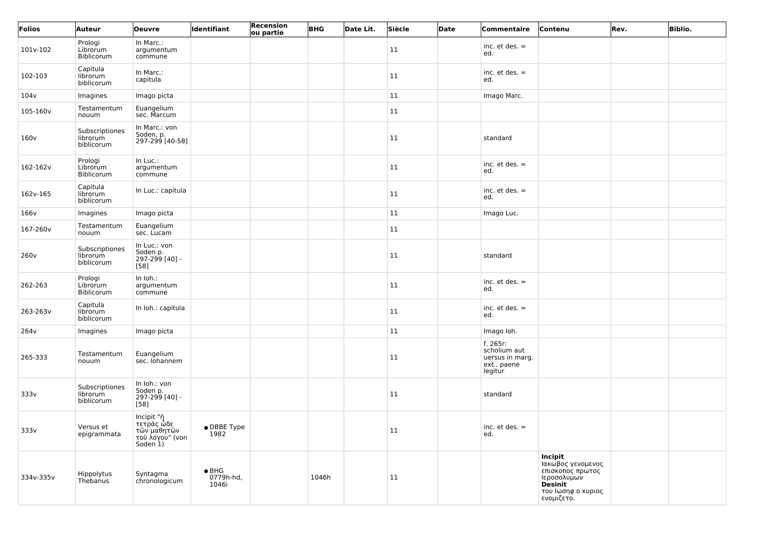| Folios           | Auteur                                   | <b>Oeuvre</b>                                                          | Identifiant                         | <b>Recension</b><br>ou partie | <b>BHG</b> | Date Lit. | Siècle | Date | Commentaire                                                           | Contenu                                                                                                                      | Rev. | <b>Biblio.</b> |
|------------------|------------------------------------------|------------------------------------------------------------------------|-------------------------------------|-------------------------------|------------|-----------|--------|------|-----------------------------------------------------------------------|------------------------------------------------------------------------------------------------------------------------------|------|----------------|
| 101v-102         | Prologi<br>Librorum<br>Biblicorum        | In Marc.:<br>argumentum<br>commune                                     |                                     |                               |            |           | 11     |      | inc. $et$ des. $=$<br>ed.                                             |                                                                                                                              |      |                |
| 102-103          | Capitula<br>librorum<br>biblicorum       | In Marc.:<br>capitula                                                  |                                     |                               |            |           | 11     |      | inc. $et$ des. $=$<br>ed.                                             |                                                                                                                              |      |                |
| 104v             | Imagines                                 | Imago picta                                                            |                                     |                               |            |           | 11     |      | Imago Marc.                                                           |                                                                                                                              |      |                |
| 105-160v         | Testamentum<br>nouum                     | Euangelium<br>sec. Marcum                                              |                                     |                               |            |           | 11     |      |                                                                       |                                                                                                                              |      |                |
| 160v             | Subscriptiones<br>librorum<br>biblicorum | In Marc.: von<br>Soden, p.<br>297-299 [40-58]                          |                                     |                               |            |           | 11     |      | standard                                                              |                                                                                                                              |      |                |
| 162-162v         | Prologi<br>Librorum<br>Biblicorum        | In Luc.:<br>argumentum<br>commune                                      |                                     |                               |            |           | 11     |      | inc. $et$ des. $=$<br>ed.                                             |                                                                                                                              |      |                |
| 162v-165         | Capitula<br>librorum<br>biblicorum       | In Luc.: capitula                                                      |                                     |                               |            |           | 11     |      | inc. $et$ des. $=$<br>ed.                                             |                                                                                                                              |      |                |
| 166v             | Imagines                                 | Imago picta                                                            |                                     |                               |            |           | 11     |      | Imago Luc.                                                            |                                                                                                                              |      |                |
| 167-260v         | Testamentum<br>nouum                     | Euangelium<br>sec. Lucam                                               |                                     |                               |            |           | 11     |      |                                                                       |                                                                                                                              |      |                |
| 260 <sub>v</sub> | Subscriptiones<br>librorum<br>biblicorum | In Luc.: von<br>Soden p.<br>297-299 [40] -<br>$[58]$                   |                                     |                               |            |           | 11     |      | standard                                                              |                                                                                                                              |      |                |
| 262-263          | Prologi<br>Librorum<br>Biblicorum        | In Ioh.:<br>argumentum<br>commune                                      |                                     |                               |            |           | 11     |      | inc. $et$ des. $=$<br>ed.                                             |                                                                                                                              |      |                |
| 263-263v         | Capitula<br>librorum<br>biblicorum       | In Ioh.: capitula                                                      |                                     |                               |            |           | 11     |      | inc. $et$ des. $=$<br>ed.                                             |                                                                                                                              |      |                |
| 264 <sub>v</sub> | Imagines                                 | Imago picta                                                            |                                     |                               |            |           | 11     |      | Imago Ioh.                                                            |                                                                                                                              |      |                |
| 265-333          | Testamentum<br>nouum                     | Euangelium<br>sec. lohannem                                            |                                     |                               |            |           | 11     |      | f. 265r:<br>scholium aut<br>uersus in marg.<br>ext., paene<br>legitur |                                                                                                                              |      |                |
| 333v             | Subscriptiones<br>librorum<br>biblicorum | In Ioh.: von<br>Soden p.<br>297-299 [40] -<br>$[58]$                   |                                     |                               |            |           | 11     |      | standard                                                              |                                                                                                                              |      |                |
| 333v             | Versus et<br>epigrammata                 | Incipit "ἡ<br>τετρὰς ὡδε<br>τῶν μαθητῶν<br>τοῦ λόγου" (von<br>Soden 1) | • DBBE Type<br>1982                 |                               |            |           | 11     |      | inc. $et$ des. $=$<br>ed.                                             |                                                                                                                              |      |                |
| 334v-335v        | Hippolytus<br>Thebanus                   | Syntagma<br>chronologicum                                              | $\bullet$ BHG<br>0779h-hd,<br>1046i |                               | 1046h      |           | 11     |      |                                                                       | <b>Incipit</b><br>Ιακωβος γενομενος<br>επισκοπος πρωτος<br>Ιεροσολυμων<br><b>Desinit</b><br>του Ιωσηφ ο κυριος<br>ενομιζετο. |      |                |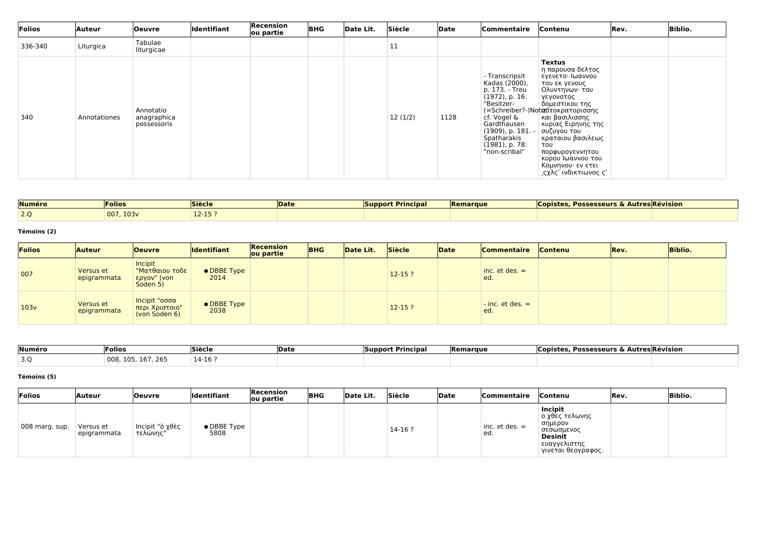| Folios  | Auteur       | Oeuvre                                  | Identifiant | Recension<br>ou partie | <b>BHG</b> | Date Lit. | Siècle  | Date | Commentaire                                                                                                                                                                                  | Contenu                                                                                                                                                                                                                                                                                                                                    | Rev. | <b>Biblio.</b> |
|---------|--------------|-----------------------------------------|-------------|------------------------|------------|-----------|---------|------|----------------------------------------------------------------------------------------------------------------------------------------------------------------------------------------------|--------------------------------------------------------------------------------------------------------------------------------------------------------------------------------------------------------------------------------------------------------------------------------------------------------------------------------------------|------|----------------|
| 336-340 | Liturgica    | Tabulae<br>liturgicae                   |             |                        |            |           | 11      |      |                                                                                                                                                                                              |                                                                                                                                                                                                                                                                                                                                            |      |                |
| 340     | Annotationes | Annotatio<br>anagraphica<br>possessoris |             |                        |            |           | 12(1/2) | 1128 | - Transcripsit<br>Kadas (2000),<br>p. 173. - Treu<br>$(1972)$ , p. 16:<br>"Besitzer-<br>cf. Vogel &<br>Gardthausen<br>(1909), p. 181. -<br>Spatharakis<br>$(1981)$ , p. 78:<br>"non-scribal" | <b>Textus</b><br>η παρουσα δελτος<br>εγενετο· Ιωαννου<br>του εκ γενους<br>βολυντηνων∙ του<br>γεγονοτος<br>δομεστικου της<br>(=Schreiber?-)Notizΰτοκρατορισσης<br>και βασιλισσης<br>κυριας Ειρηνης της<br>∣ συζυγου του<br>  κραταιου βασιλεως<br>του<br>πορφυρογεννητου<br>κυρου Ιωαννου του<br>Κομνηνου· εν ετει<br>,ςχλς' ινδικτιωνος ς' |      |                |

| Numéro                | <b>Folios</b> | <b>Siècle</b> | <b>Date</b> | <b>Support Principal</b> | <b>Remarque</b> | <b>Possesseurs &amp; Autres Révision</b><br><b>Copistes</b> |  |
|-----------------------|---------------|---------------|-------------|--------------------------|-----------------|-------------------------------------------------------------|--|
| $\sim$ $\sim$<br>-2.Q | 007, 103v     | -- - -        |             |                          |                 |                                                             |  |

#### **Témoins (2)**

| Folios | <b>Auteur</b>            | <b>Oeuvre</b>                                        | <b>Identifiant</b>  | Recension<br>ou partie | <b>BHG</b> | Date Lit. | Siècle     | Date | <b>Commentaire</b>                    | <b>Contenu</b> | <b>Rev.</b> | <b>Biblio.</b> |
|--------|--------------------------|------------------------------------------------------|---------------------|------------------------|------------|-----------|------------|------|---------------------------------------|----------------|-------------|----------------|
| 007    | Versus et<br>epigrammata | Incipit<br>"Ματθαιου τοδε<br>εργον" (von<br>Soden 5) | • DBBE Type<br>2014 |                        |            |           | $12 - 15?$ |      | $inc. et des. =$<br>ed.               |                |             |                |
| 103v   | Versus et<br>epigrammata | Incipit "οσσα<br>περι Χριστοιο"<br>(von Soden 6)     | • DBBE Type<br>2038 |                        |            |           | $12 - 15?$ |      | $\frac{1}{2}$ inc. et des. $=$<br>ed. |                |             |                |

| Numéro                | <b>Folios</b>                         | <b>Siècle</b> | <b>IDate</b> | `Principar<br> Support | <b>Remarque</b> | Copistes,<br><b>Possesseurs &amp; Autres Révision</b> |  |
|-----------------------|---------------------------------------|---------------|--------------|------------------------|-----------------|-------------------------------------------------------|--|
| $\sim$ $\sim$<br>ب. ب | $-7 - 22$<br>008<br><u>я о</u><br>⊥b. | 14-16 ?       |              |                        |                 |                                                       |  |

#### **Témoins (5)**

| Folios         | Auteur                   | <b>Oeuvre</b>                 | Identifiant         | Recension<br>ou partie | <b>BHG</b> | Date Lit. | Siècle   | Date | Commentaire               | <b>Contenu</b>                                                                                                      | Rev. | <b>Biblio.</b> |
|----------------|--------------------------|-------------------------------|---------------------|------------------------|------------|-----------|----------|------|---------------------------|---------------------------------------------------------------------------------------------------------------------|------|----------------|
| 008 marg. sup. | Versus et<br>epigrammata | Incipit "ὁ χθὲς<br>⊣ τελώνης" | • DBBE Type<br>5808 |                        |            |           | $14-16?$ |      | $inc.$ et des. $=$<br>ed. | <b>Incipit</b><br>ο χθες τελωνης<br>σημερον<br>σεσωσμενος<br><b>Desinit</b><br>ευαγγελιστης<br>  γινεται θεογραφος. |      |                |